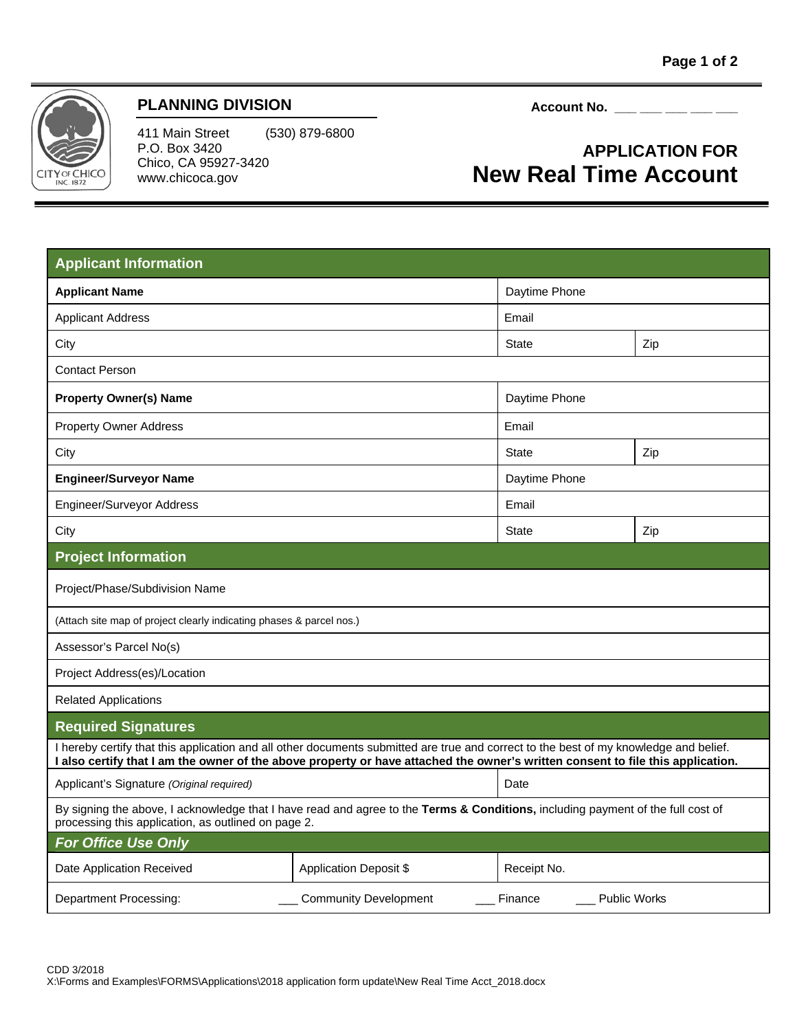

## **PLANNING DIVISION**

411 Main Street (530) 879-6800 P.O. Box 3420 Chico, CA 95927-3420 www.chicoca.gov

Account No. <u>\_\_\_ \_\_ \_\_ \_\_</u> \_\_

## **APPLICATION FOR New Real Time Account**

| <b>Applicant Information</b>                                                                                                                                                                                                                                             |                               |               |     |
|--------------------------------------------------------------------------------------------------------------------------------------------------------------------------------------------------------------------------------------------------------------------------|-------------------------------|---------------|-----|
| <b>Applicant Name</b>                                                                                                                                                                                                                                                    |                               | Daytime Phone |     |
| <b>Applicant Address</b>                                                                                                                                                                                                                                                 |                               | Email         |     |
| City                                                                                                                                                                                                                                                                     |                               | <b>State</b>  | Zip |
| <b>Contact Person</b>                                                                                                                                                                                                                                                    |                               |               |     |
| <b>Property Owner(s) Name</b>                                                                                                                                                                                                                                            |                               | Daytime Phone |     |
| <b>Property Owner Address</b>                                                                                                                                                                                                                                            |                               | Email         |     |
| City                                                                                                                                                                                                                                                                     |                               | <b>State</b>  | Zip |
| <b>Engineer/Surveyor Name</b>                                                                                                                                                                                                                                            |                               | Daytime Phone |     |
| <b>Engineer/Surveyor Address</b>                                                                                                                                                                                                                                         |                               | Email         |     |
| City                                                                                                                                                                                                                                                                     |                               | <b>State</b>  | Zip |
| <b>Project Information</b>                                                                                                                                                                                                                                               |                               |               |     |
| Project/Phase/Subdivision Name                                                                                                                                                                                                                                           |                               |               |     |
| (Attach site map of project clearly indicating phases & parcel nos.)                                                                                                                                                                                                     |                               |               |     |
| Assessor's Parcel No(s)                                                                                                                                                                                                                                                  |                               |               |     |
| Project Address(es)/Location                                                                                                                                                                                                                                             |                               |               |     |
| <b>Related Applications</b>                                                                                                                                                                                                                                              |                               |               |     |
| <b>Required Signatures</b>                                                                                                                                                                                                                                               |                               |               |     |
| I hereby certify that this application and all other documents submitted are true and correct to the best of my knowledge and belief.<br>I also certify that I am the owner of the above property or have attached the owner's written consent to file this application. |                               |               |     |
| Applicant's Signature (Original required)                                                                                                                                                                                                                                |                               | Date          |     |
| By signing the above, I acknowledge that I have read and agree to the Terms & Conditions, including payment of the full cost of<br>processing this application, as outlined on page 2.                                                                                   |                               |               |     |
| <b>For Office Use Only</b>                                                                                                                                                                                                                                               |                               |               |     |
| Date Application Received                                                                                                                                                                                                                                                | <b>Application Deposit \$</b> | Receipt No.   |     |
| Department Processing:<br><b>Community Development</b><br>Finance<br><b>Public Works</b>                                                                                                                                                                                 |                               |               |     |